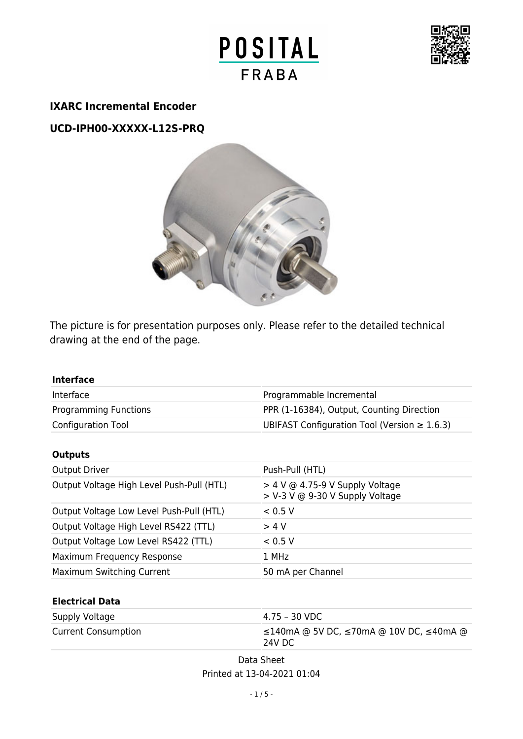



#### **IXARC Incremental Encoder**

**UCD-IPH00-XXXXX-L12S-PRQ**



The picture is for presentation purposes only. Please refer to the detailed technical drawing at the end of the page.

| <b>Interface</b>                          |                                                                      |
|-------------------------------------------|----------------------------------------------------------------------|
| Interface                                 | Programmable Incremental                                             |
| <b>Programming Functions</b>              | PPR (1-16384), Output, Counting Direction                            |
| Configuration Tool                        | UBIFAST Configuration Tool (Version $\geq 1.6.3$ )                   |
| <b>Outputs</b>                            |                                                                      |
| <b>Output Driver</b>                      | Push-Pull (HTL)                                                      |
| Output Voltage High Level Push-Pull (HTL) | $>$ 4 V @ 4.75-9 V Supply Voltage<br>> V-3 V @ 9-30 V Supply Voltage |
| Output Voltage Low Level Push-Pull (HTL)  | < 0.5 V                                                              |
| Output Voltage High Level RS422 (TTL)     | > 4 V                                                                |
| Output Voltage Low Level RS422 (TTL)      | < 0.5 V                                                              |
| Maximum Frequency Response                | 1 MHz                                                                |
| Maximum Switching Current                 | 50 mA per Channel                                                    |
| <b>Electrical Data</b>                    |                                                                      |
| Supply Voltage                            | $4.75 - 30$ VDC                                                      |
| <b>Current Consumption</b>                | ≤140mA @ 5V DC, ≤70mA @ 10V DC, ≤40mA @                              |

Data Sheet Printed at 13-04-2021 01:04

24V DC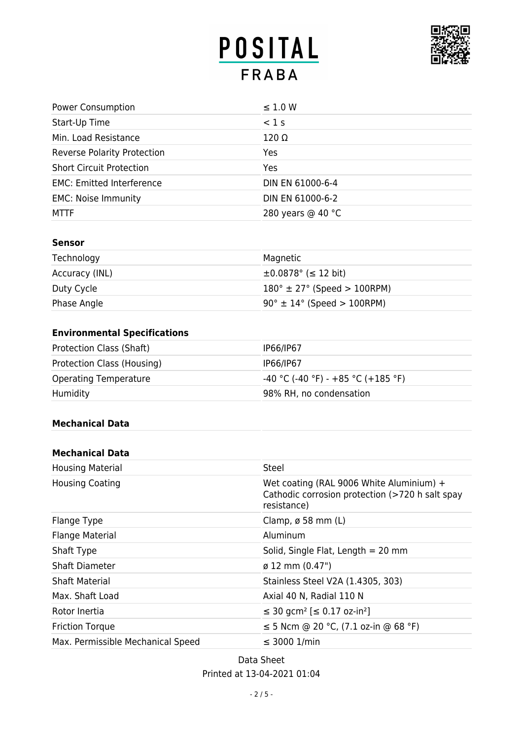# POSITAL **FRABA**



| <b>Power Consumption</b>           | $\leq$ 1.0 W      |
|------------------------------------|-------------------|
| Start-Up Time                      | $<$ 1 s           |
| Min. Load Resistance               | $120 \Omega$      |
| <b>Reverse Polarity Protection</b> | Yes               |
| <b>Short Circuit Protection</b>    | <b>Yes</b>        |
| <b>EMC: Emitted Interference</b>   | DIN EN 61000-6-4  |
| <b>EMC: Noise Immunity</b>         | DIN EN 61000-6-2  |
| <b>MTTF</b>                        | 280 years @ 40 °C |

#### **Sensor**

| Technology     | Magnetic                                      |
|----------------|-----------------------------------------------|
| Accuracy (INL) | $\pm 0.0878$ ° ( $\leq 12$ bit)               |
| Duty Cycle     | $180^{\circ} \pm 27^{\circ}$ (Speed > 100RPM) |
| Phase Angle    | $90^\circ \pm 14^\circ$ (Speed > 100RPM)      |

## **Environmental Specifications**

| Protection Class (Shaft)     | IP66/IP67                            |
|------------------------------|--------------------------------------|
| Protection Class (Housing)   | IP66/IP67                            |
| <b>Operating Temperature</b> | $-40$ °C (-40 °F) - +85 °C (+185 °F) |
| Humidity                     | 98% RH, no condensation              |

#### **Mechanical Data**

#### **Mechanical Data**

| <b>Housing Material</b>           | Steel                                                                                                      |
|-----------------------------------|------------------------------------------------------------------------------------------------------------|
| <b>Housing Coating</b>            | Wet coating (RAL 9006 White Aluminium) +<br>Cathodic corrosion protection (>720 h salt spay<br>resistance) |
| Flange Type                       | Clamp, $\varnothing$ 58 mm (L)                                                                             |
| <b>Flange Material</b>            | Aluminum                                                                                                   |
| Shaft Type                        | Solid, Single Flat, Length $= 20$ mm                                                                       |
| <b>Shaft Diameter</b>             | $\varnothing$ 12 mm (0.47")                                                                                |
| <b>Shaft Material</b>             | Stainless Steel V2A (1.4305, 303)                                                                          |
| Max. Shaft Load                   | Axial 40 N, Radial 110 N                                                                                   |
| Rotor Inertia                     | ≤ 30 gcm <sup>2</sup> [≤ 0.17 oz-in <sup>2</sup> ]                                                         |
| <b>Friction Torque</b>            | ≤ 5 Ncm @ 20 °C, $(7.1$ oz-in @ 68 °F)                                                                     |
| Max. Permissible Mechanical Speed | $\leq$ 3000 1/min                                                                                          |

Data Sheet Printed at 13-04-2021 01:04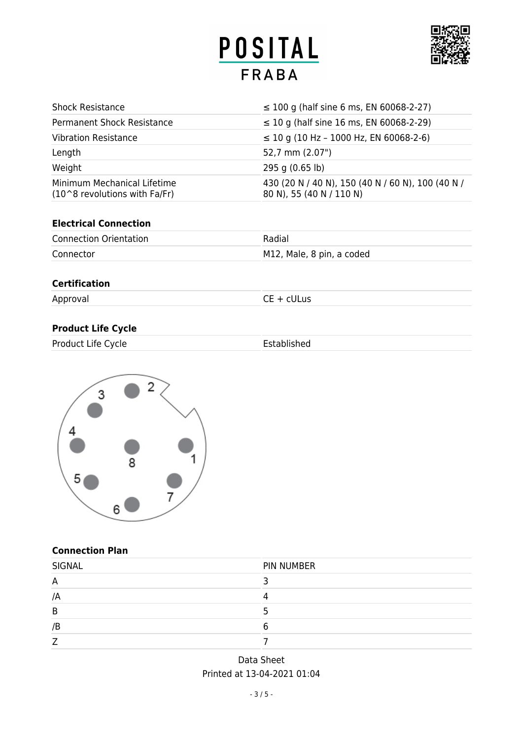# POSITAL **FRABA**



| <b>Shock Resistance</b>                                        | $\leq$ 100 g (half sine 6 ms, EN 60068-2-27)                                  |
|----------------------------------------------------------------|-------------------------------------------------------------------------------|
| <b>Permanent Shock Resistance</b>                              | $\leq$ 10 g (half sine 16 ms, EN 60068-2-29)                                  |
| <b>Vibration Resistance</b>                                    | $\leq$ 10 g (10 Hz - 1000 Hz, EN 60068-2-6)                                   |
| Length                                                         | 52,7 mm (2.07")                                                               |
| Weight                                                         | $295$ g (0.65 lb)                                                             |
| Minimum Mechanical Lifetime<br>$(10^8$ revolutions with Fa/Fr) | 430 (20 N / 40 N), 150 (40 N / 60 N), 100 (40 N /<br>80 N), 55 (40 N / 110 N) |

#### **Electrical Connection**

| <b>Connection Orientation</b> | Radial                    |
|-------------------------------|---------------------------|
| Connector                     | M12, Male, 8 pin, a coded |

### **Certification**

Approval CE + cULus

### **Product Life Cycle**

| Product Life Cycle | Established |
|--------------------|-------------|
|                    |             |



#### **Connection Plan**

| <b>SIGNAL</b> | PIN NUMBER |
|---------------|------------|
| A             |            |
| /A            |            |
| B             |            |
| /B            |            |
|               |            |

## Data Sheet Printed at 13-04-2021 01:04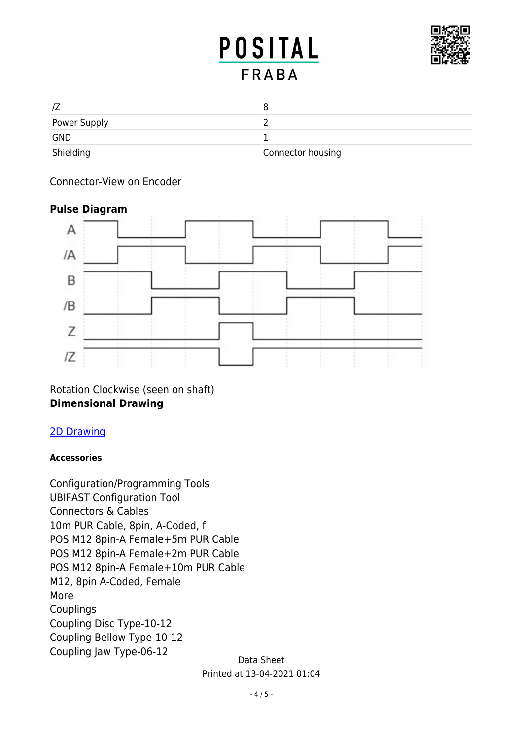## **POSITAL FRABA**



| Power Supply |                   |
|--------------|-------------------|
| <b>GND</b>   |                   |
| Shielding    | Connector housing |

## Connector-View on Encoder

## **Pulse Diagram**



Rotation Clockwise (seen on shaft) **Dimensional Drawing**

## [2D Drawing](http://www.posital.com/en/system/webservices/product-drawing.php?i1=aHR0cHM6Ly93d3cucG9zaXRhbC5jb20vbWVkaWEvcG9zaXRhbF9mc2ltZy9kcmF3aW5nLW1jZC1sMTJzLXE1Yi1uXzk1MHhYLnBuZw==&i2=aHR0cHM6Ly93d3cucG9zaXRhbC5jb20vbWVkaWEvcG9zaXRhbF9mc2ltZy9kcmF3aW5nLW1jLTUtY3ItNDMyLXN3cy1ubm4xMmItbi1wcnEtbl85NTB4WC5wbmc=&i3=&p=VUNELUlQSDAwLVhYWFhYLUwxMlMtUFJR)

### **Accessories**

Data Sheet Configuration/Programming Tools UBIFAST Configuration Tool Connectors & Cables 10m PUR Cable, 8pin, A-Coded, f POS M12 8pin-A Female+5m PUR Cable POS M12 8pin-A Female+2m PUR Cable POS M12 8pin-A Female+10m PUR Cable M12, 8pin A-Coded, Female More Couplings Coupling Disc Type-10-12 Coupling Bellow Type-10-12 Coupling Jaw Type-06-12

Printed at 13-04-2021 01:04